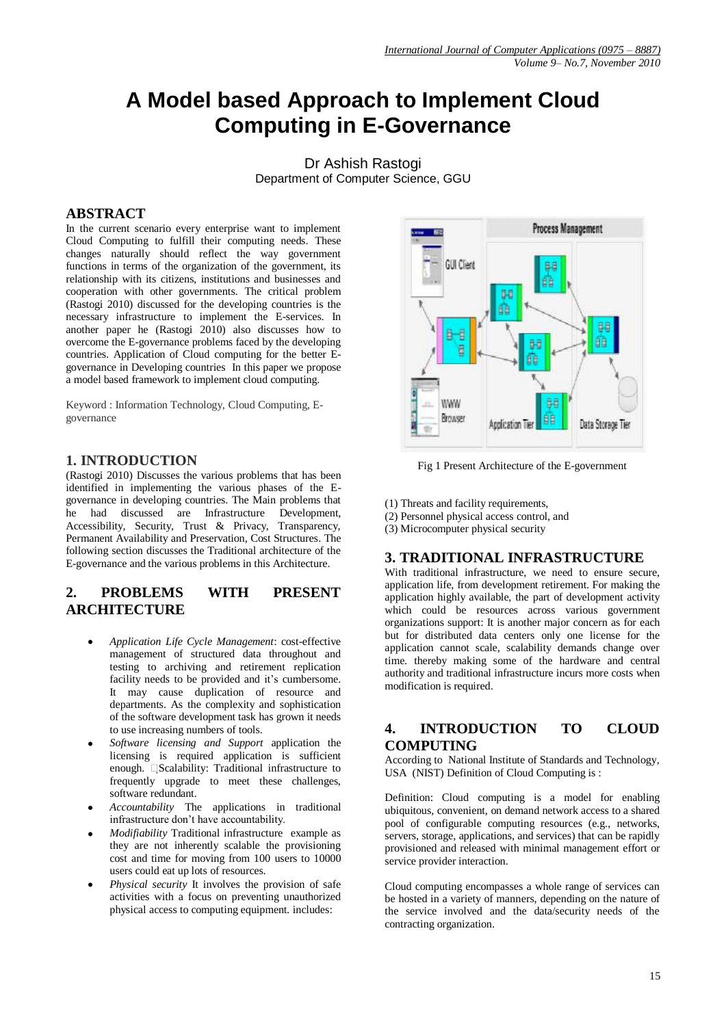# **A Model based Approach to Implement Cloud Computing in E-Governance**

Dr Ashish Rastogi Department of Computer Science, GGU

## **ABSTRACT**

In the current scenario every enterprise want to implement Cloud Computing to fulfill their computing needs. These changes naturally should reflect the way government functions in terms of the organization of the government, its relationship with its citizens, institutions and businesses and cooperation with other governments. The critical problem (Rastogi 2010) discussed for the developing countries is the necessary infrastructure to implement the E-services. In another paper he (Rastogi 2010) also discusses how to overcome the E-governance problems faced by the developing countries. Application of Cloud computing for the better Egovernance in Developing countries In this paper we propose a model based framework to implement cloud computing.

Keyword : Information Technology, Cloud Computing, Egovernance

# **1. INTRODUCTION**

(Rastogi 2010) Discusses the various problems that has been identified in implementing the various phases of the Egovernance in developing countries. The Main problems that he had discussed are Infrastructure Development, Accessibility, Security, Trust & Privacy, Transparency, Permanent Availability and Preservation, Cost Structures. The following section discusses the Traditional architecture of the E-governance and the various problems in this Architecture.

# **2. PROBLEMS WITH PRESENT ARCHITECTURE**

- *Application Life Cycle Management*: cost-effective management of structured data throughout and testing to archiving and retirement replication facility needs to be provided and it's cumbersome. It may cause duplication of resource and departments. As the complexity and sophistication of the software development task has grown it needs to use increasing numbers of tools.
- *Software licensing and Support* application the licensing is required application is sufficient enough. **Scalability:** Traditional infrastructure to frequently upgrade to meet these challenges, software redundant.
- *Accountability* The applications in traditional infrastructure don't have accountability.
- *Modifiability* Traditional infrastructure example as they are not inherently scalable the provisioning cost and time for moving from 100 users to 10000 users could eat up lots of resources.
- *Physical security* It involves the provision of safe activities with a focus on preventing unauthorized physical access to computing equipment. includes:



Fig 1 Present Architecture of the E-government

- (1) Threats and facility requirements,
- (2) Personnel physical access control, and
- (3) Microcomputer physical security

## **3. TRADITIONAL INFRASTRUCTURE**

With traditional infrastructure, we need to ensure secure, application life, from development retirement. For making the application highly available, the part of development activity which could be resources across various government organizations support: It is another major concern as for each but for distributed data centers only one license for the application cannot scale, scalability demands change over time. thereby making some of the hardware and central authority and traditional infrastructure incurs more costs when modification is required.

# **4. INTRODUCTION TO CLOUD COMPUTING**

According to National Institute of Standards and Technology, USA (NIST) Definition of Cloud Computing is :

Definition: Cloud computing is a model for enabling ubiquitous, convenient, on demand network access to a shared pool of configurable computing resources (e.g., networks, servers, storage, applications, and services) that can be rapidly provisioned and released with minimal management effort or service provider interaction.

Cloud computing encompasses a whole range of services can be hosted in a variety of manners, depending on the nature of the service involved and the data/security needs of the contracting organization.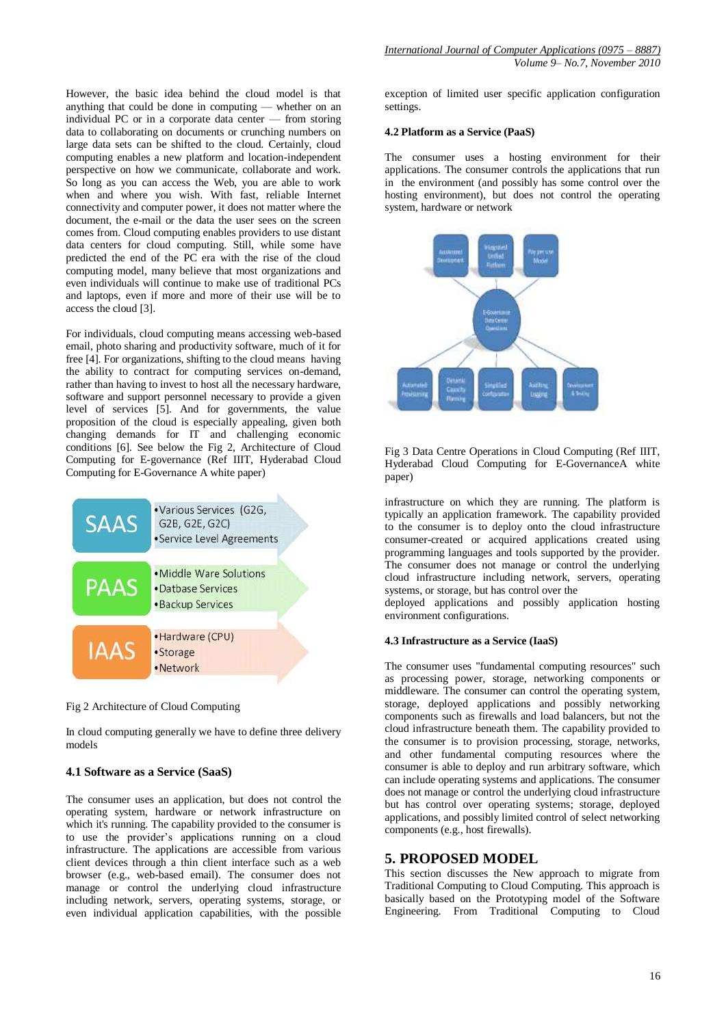However, the basic idea behind the cloud model is that anything that could be done in computing — whether on an individual PC or in a corporate data center — from storing data to collaborating on documents or crunching numbers on large data sets can be shifted to the cloud. Certainly, cloud computing enables a new platform and location-independent perspective on how we communicate, collaborate and work. So long as you can access the Web, you are able to work when and where you wish. With fast, reliable Internet connectivity and computer power, it does not matter where the document, the e-mail or the data the user sees on the screen comes from. Cloud computing enables providers to use distant data centers for cloud computing. Still, while some have predicted the end of the PC era with the rise of the cloud computing model, many believe that most organizations and even individuals will continue to make use of traditional PCs and laptops, even if more and more of their use will be to access the cloud [3].

For individuals, cloud computing means accessing web-based email, photo sharing and productivity software, much of it for free [4]. For organizations, shifting to the cloud means having the ability to contract for computing services on-demand, rather than having to invest to host all the necessary hardware, software and support personnel necessary to provide a given level of services  $\begin{bmatrix} 1 \\ 5 \end{bmatrix}$ . And for governments, the value proposition of the cloud is especially appealing, given both changing demands for IT and challenging economic conditions [6]. See below the Fig 2, Architecture of Cloud Computing for E-governance (Ref IIIT, Hyderabad Cloud Computing for E-Governance A white paper)



Fig 2 Architecture of Cloud Computing

In cloud computing generally we have to define three delivery models

#### **4.1 Software as a Service (SaaS)**

The consumer uses an application, but does not control the operating system, hardware or network infrastructure on which it's running. The capability provided to the consumer is to use the provider's applications running on a cloud infrastructure. The applications are accessible from various client devices through a thin client interface such as a web browser (e.g., web-based email). The consumer does not manage or control the underlying cloud infrastructure including network, servers, operating systems, storage, or even individual application capabilities, with the possible

exception of limited user specific application configuration settings.

#### **4.2 Platform as a Service (PaaS)**

The consumer uses a hosting environment for their applications. The consumer controls the applications that run in the environment (and possibly has some control over the hosting environment), but does not control the operating system, hardware or network



Fig 3 Data Centre Operations in Cloud Computing (Ref IIIT, Hyderabad Cloud Computing for E-GovernanceA white paper)

infrastructure on which they are running. The platform is typically an application framework. The capability provided to the consumer is to deploy onto the cloud infrastructure consumer-created or acquired applications created using programming languages and tools supported by the provider. The consumer does not manage or control the underlying cloud infrastructure including network, servers, operating systems, or storage, but has control over the

deployed applications and possibly application hosting environment configurations.

#### **4.3 Infrastructure as a Service (IaaS)**

The consumer uses "fundamental computing resources" such as processing power, storage, networking components or middleware. The consumer can control the operating system, storage, deployed applications and possibly networking components such as firewalls and load balancers, but not the cloud infrastructure beneath them. The capability provided to the consumer is to provision processing, storage, networks, and other fundamental computing resources where the consumer is able to deploy and run arbitrary software, which can include operating systems and applications. The consumer does not manage or control the underlying cloud infrastructure but has control over operating systems; storage, deployed applications, and possibly limited control of select networking components (e.g., host firewalls).

#### **5. PROPOSED MODEL**

This section discusses the New approach to migrate from Traditional Computing to Cloud Computing. This approach is basically based on the Prototyping model of the Software Engineering. From Traditional Computing to Cloud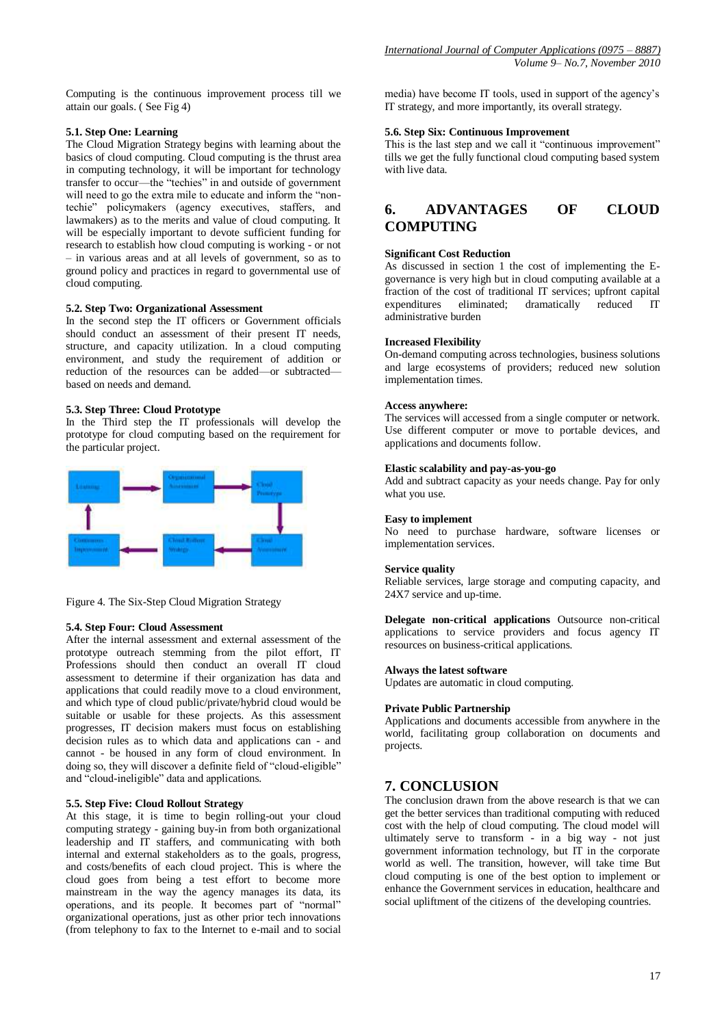Computing is the continuous improvement process till we attain our goals. ( See Fig 4)

#### **5.1. Step One: Learning**

The Cloud Migration Strategy begins with learning about the basics of cloud computing. Cloud computing is the thrust area in computing technology, it will be important for technology transfer to occur—the "techies" in and outside of government will need to go the extra mile to educate and inform the "nontechie" policymakers (agency executives, staffers, and lawmakers) as to the merits and value of cloud computing. It will be especially important to devote sufficient funding for research to establish how cloud computing is working - or not – in various areas and at all levels of government, so as to ground policy and practices in regard to governmental use of cloud computing.

#### **5.2. Step Two: Organizational Assessment**

In the second step the IT officers or Government officials should conduct an assessment of their present IT needs, structure, and capacity utilization. In a cloud computing environment, and study the requirement of addition or reduction of the resources can be added—or subtracted based on needs and demand.

#### **5.3. Step Three: Cloud Prototype**

In the Third step the IT professionals will develop the prototype for cloud computing based on the requirement for the particular project.



Figure 4. The Six-Step Cloud Migration Strategy

#### **5.4. Step Four: Cloud Assessment**

After the internal assessment and external assessment of the prototype outreach stemming from the pilot effort, IT Professions should then conduct an overall IT cloud assessment to determine if their organization has data and applications that could readily move to a cloud environment, and which type of cloud public/private/hybrid cloud would be suitable or usable for these projects. As this assessment progresses, IT decision makers must focus on establishing decision rules as to which data and applications can - and cannot - be housed in any form of cloud environment. In doing so, they will discover a definite field of "cloud-eligible" and "cloud-ineligible" data and applications.

#### **5.5. Step Five: Cloud Rollout Strategy**

At this stage, it is time to begin rolling-out your cloud computing strategy - gaining buy-in from both organizational leadership and IT staffers, and communicating with both internal and external stakeholders as to the goals, progress, and costs/benefits of each cloud project. This is where the cloud goes from being a test effort to become more mainstream in the way the agency manages its data, its operations, and its people. It becomes part of "normal" organizational operations, just as other prior tech innovations (from telephony to fax to the Internet to e-mail and to social media) have become IT tools, used in support of the agency's IT strategy, and more importantly, its overall strategy.

#### **5.6. Step Six: Continuous Improvement**

This is the last step and we call it "continuous improvement" tills we get the fully functional cloud computing based system with live data.

# **6. ADVANTAGES OF CLOUD COMPUTING**

#### **Significant Cost Reduction**

As discussed in section 1 the cost of implementing the Egovernance is very high but in cloud computing available at a fraction of the cost of traditional IT services; upfront capital expenditures eliminated; dramatically reduced IT administrative burden

#### **Increased Flexibility**

On-demand computing across technologies, business solutions and large ecosystems of providers; reduced new solution implementation times.

#### **Access anywhere:**

The services will accessed from a single computer or network. Use different computer or move to portable devices, and applications and documents follow.

#### **Elastic scalability and pay-as-you-go**

Add and subtract capacity as your needs change. Pay for only what you use.

#### **Easy to implement**

No need to purchase hardware, software licenses or implementation services.

#### **Service quality**

Reliable services, large storage and computing capacity, and 24X7 service and up-time.

**Delegate non-critical applications** Outsource non-critical applications to service providers and focus agency IT resources on business-critical applications.

#### **Always the latest software**

Updates are automatic in cloud computing.

#### **Private Public Partnership**

Applications and documents accessible from anywhere in the world, facilitating group collaboration on documents and projects.

### **7. CONCLUSION**

The conclusion drawn from the above research is that we can get the better services than traditional computing with reduced cost with the help of cloud computing. The cloud model will ultimately serve to transform - in a big way - not just government information technology, but IT in the corporate world as well. The transition, however, will take time But cloud computing is one of the best option to implement or enhance the Government services in education, healthcare and social upliftment of the citizens of the developing countries.